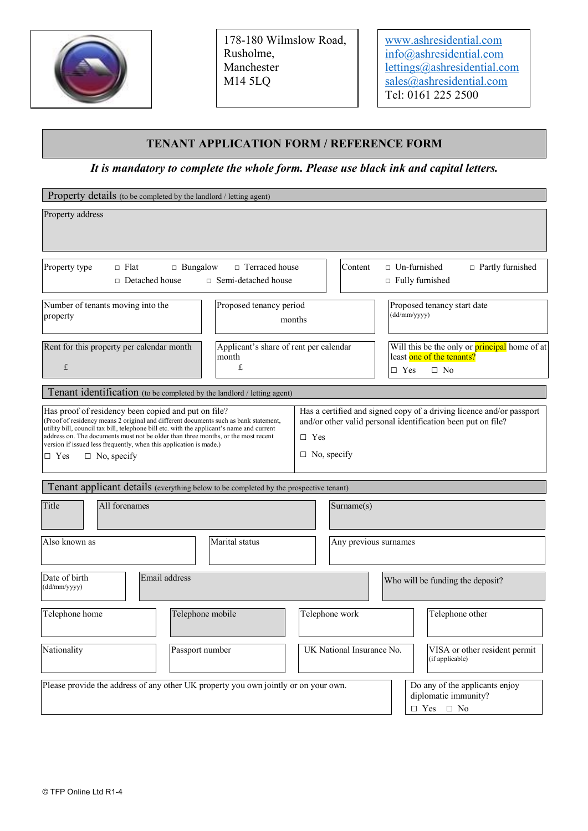

178-180 Wilmslow Road, Rusholme, Manchester M14 5LQ

www.ashresidential.com info@ashresidential.com lettings@ashresidential.com sales@ashresidential.com Tel: 0161 225 2500

### **TENANT APPLICATION FORM / REFERENCE FORM**

*It is mandatory to complete the whole form. Please use black ink and capital letters.*

| Property details (to be completed by the landlord / letting agent)                                                                                                                                                                                                                                                                                                                                                                      |                                                                                                                                                                          |  |  |
|-----------------------------------------------------------------------------------------------------------------------------------------------------------------------------------------------------------------------------------------------------------------------------------------------------------------------------------------------------------------------------------------------------------------------------------------|--------------------------------------------------------------------------------------------------------------------------------------------------------------------------|--|--|
| Property address                                                                                                                                                                                                                                                                                                                                                                                                                        |                                                                                                                                                                          |  |  |
| $\Box$ Terraced house<br>Property type<br>$\Box$ Flat<br>$\Box$ Bungalow<br>$\Box$ Detached house<br>□ Semi-detached house                                                                                                                                                                                                                                                                                                              | Content<br>$\Box$ Un-furnished<br>$\Box$ Partly furnished<br>$\Box$ Fully furnished                                                                                      |  |  |
| Number of tenants moving into the<br>Proposed tenancy period<br>property                                                                                                                                                                                                                                                                                                                                                                | Proposed tenancy start date<br>(dd/mm/yyyy)<br>months                                                                                                                    |  |  |
| Rent for this property per calendar month<br>Applicant's share of rent per calendar<br>month<br>£<br>£                                                                                                                                                                                                                                                                                                                                  | Will this be the only or <b>principal</b> home of at<br>least one of the tenants?<br>$\Box$ Yes<br>$\square$ No                                                          |  |  |
| Tenant identification (to be completed by the landlord / letting agent)                                                                                                                                                                                                                                                                                                                                                                 |                                                                                                                                                                          |  |  |
| Has proof of residency been copied and put on file?<br>(Proof of residency means 2 original and different documents such as bank statement,<br>utility bill, council tax bill, telephone bill etc. with the applicant's name and current<br>address on. The documents must not be older than three months, or the most recent<br>version if issued less frequently, when this application is made.)<br>$\Box$ Yes<br>$\Box$ No, specify | Has a certified and signed copy of a driving licence and/or passport<br>and/or other valid personal identification been put on file?<br>$\Box$ Yes<br>$\Box$ No, specify |  |  |
| Tenant applicant details (everything below to be completed by the prospective tenant)                                                                                                                                                                                                                                                                                                                                                   |                                                                                                                                                                          |  |  |
| Title<br>All forenames                                                                                                                                                                                                                                                                                                                                                                                                                  | Surname(s)                                                                                                                                                               |  |  |
| Also known as<br>Marital status                                                                                                                                                                                                                                                                                                                                                                                                         | Any previous surnames                                                                                                                                                    |  |  |
| Email address<br>Date of birth<br>(dd/mm/yyyy)                                                                                                                                                                                                                                                                                                                                                                                          | Who will be funding the deposit?                                                                                                                                         |  |  |
| Telephone mobile<br>Telephone home                                                                                                                                                                                                                                                                                                                                                                                                      | Telephone work<br>Telephone other                                                                                                                                        |  |  |
| Nationality<br>Passport number                                                                                                                                                                                                                                                                                                                                                                                                          | UK National Insurance No.<br>VISA or other resident permit<br>(if applicable)                                                                                            |  |  |
| Please provide the address of any other UK property you own jointly or on your own.                                                                                                                                                                                                                                                                                                                                                     | Do any of the applicants enjoy<br>diplomatic immunity?<br>$\hfill \Box$<br>Yes $\hfill \Box$<br>No                                                                       |  |  |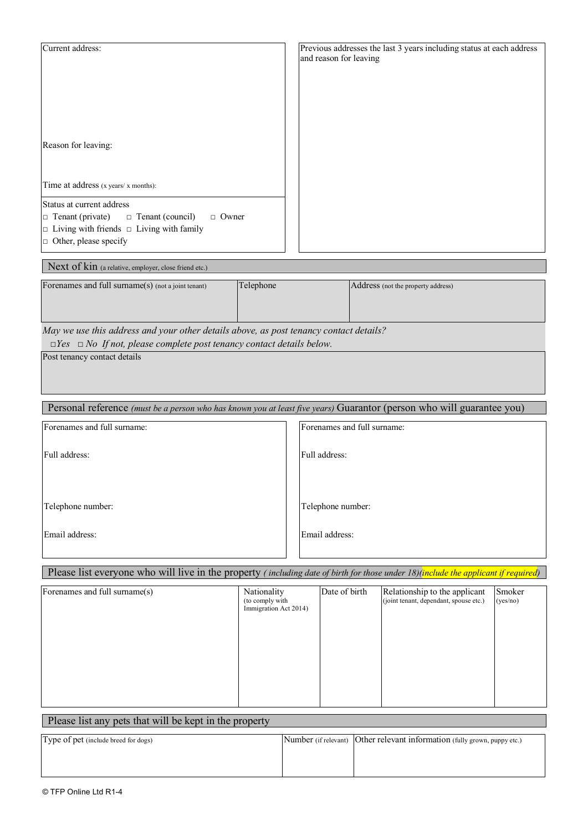| Current address:                                                   | Previous addresses the last 3 years including status at each address<br>and reason for leaving |
|--------------------------------------------------------------------|------------------------------------------------------------------------------------------------|
| Reason for leaving:                                                |                                                                                                |
| Time at address (x years/ x months):                               |                                                                                                |
| Status at current address                                          |                                                                                                |
| $\Box$ Tenant (private)<br>$\Box$ Tenant (council)<br>$\Box$ Owner |                                                                                                |
| $\Box$ Living with friends $\Box$ Living with family               |                                                                                                |
| $\Box$ Other, please specify                                       |                                                                                                |

# Next of kin (a relative, employer, close friend etc.)

| Forenames and full surname(s) (not a joint tenant) | Telephone | <b>Address</b> (not the property address) |
|----------------------------------------------------|-----------|-------------------------------------------|
|                                                    |           |                                           |
|                                                    |           |                                           |
|                                                    |           |                                           |
|                                                    |           |                                           |
|                                                    |           |                                           |

*May we use this address and your other details above, as post tenancy contact details?*

 *□Yes □ No If not, please complete post tenancy contact details below.*

Post tenancy contact details

Personal reference *(must be a person who has known you at least five years)* Guarantor (person who will guarantee you)

| Forenames and full surname: | Forenames and full surname: |
|-----------------------------|-----------------------------|
| Full address:               | Full address:               |
| Telephone number:           | Telephone number:           |
| Email address:              | Email address:              |

### Please list everyone who will live in the property *( including date of birth for those under 18)(include the applicant if required)*

| Forenames and full surname(s) | Nationality<br>(to comply with<br>Immigration Act 2014) | Date of birth | Relationship to the applicant<br>(joint tenant, dependant, spouse etc.) | Smoker<br>(yes/no) |
|-------------------------------|---------------------------------------------------------|---------------|-------------------------------------------------------------------------|--------------------|
|                               |                                                         |               |                                                                         |                    |

# Please list any pets that will be kept in the property

| Type of pet (include breed for dogs) | Number (if relevant) Other relevant information (fully grown, puppy etc.) |
|--------------------------------------|---------------------------------------------------------------------------|
|                                      |                                                                           |
|                                      |                                                                           |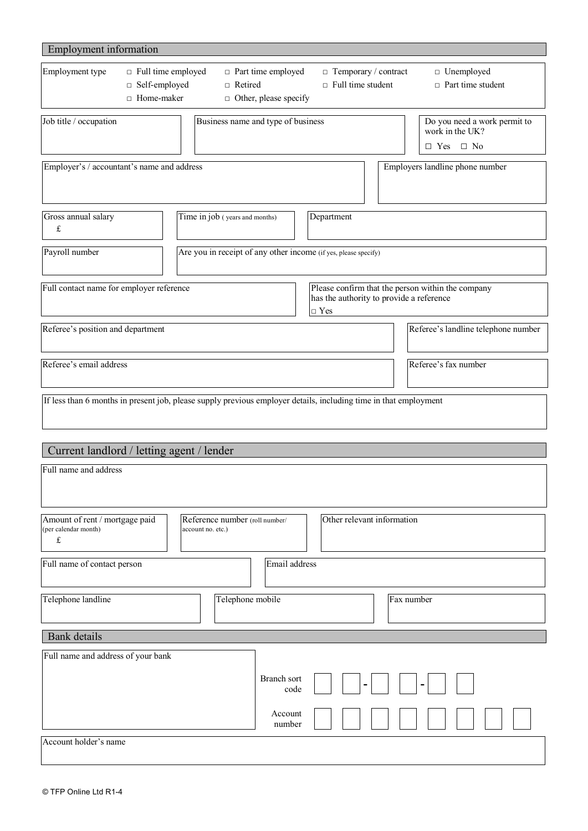| Employment information                                                               |                                                                             |                                                                                                                  |
|--------------------------------------------------------------------------------------|-----------------------------------------------------------------------------|------------------------------------------------------------------------------------------------------------------|
| Employment type<br>$\Box$ Full time employed<br>□ Self-employed<br>$\Box$ Home-maker | $\Box$ Part time employed<br>$\Box$ Retired<br>$\Box$ Other, please specify | $\Box$ Temporary / contract<br>$\Box$ Unemployed<br>$\Box$ Full time student<br>$\Box$ Part time student         |
| Job title / occupation                                                               | Business name and type of business                                          | Do you need a work permit to<br>work in the UK?<br>$\Box$ Yes $\Box$ No                                          |
| Employer's / accountant's name and address                                           |                                                                             | Employers landline phone number                                                                                  |
| Gross annual salary<br>£                                                             | Time in job (years and months)                                              | Department                                                                                                       |
| Payroll number                                                                       | Are you in receipt of any other income (if yes, please specify)             |                                                                                                                  |
| Full contact name for employer reference                                             |                                                                             | Please confirm that the person within the company<br>has the authority to provide a reference<br>$\Box$ Yes      |
| Referee's position and department                                                    |                                                                             | Referee's landline telephone number                                                                              |
| Referee's email address                                                              |                                                                             | Referee's fax number                                                                                             |
|                                                                                      |                                                                             | If less than 6 months in present job, please supply previous employer details, including time in that employment |
| Current landlord / letting agent / lender                                            |                                                                             |                                                                                                                  |
| Full name and address                                                                |                                                                             |                                                                                                                  |
| Amount of rent / mortgage paid<br>(per calendar month)<br>£                          | Reference number (roll number/<br>account no. etc.)                         | Other relevant information                                                                                       |
| Full name of contact person                                                          | Email address                                                               |                                                                                                                  |
| Telephone landline                                                                   | Telephone mobile                                                            | Fax number                                                                                                       |
| <b>Bank</b> details                                                                  |                                                                             |                                                                                                                  |
| Full name and address of your bank                                                   | Branch sort<br>code                                                         |                                                                                                                  |
|                                                                                      | Account<br>number                                                           |                                                                                                                  |
| Account holder's name                                                                |                                                                             |                                                                                                                  |